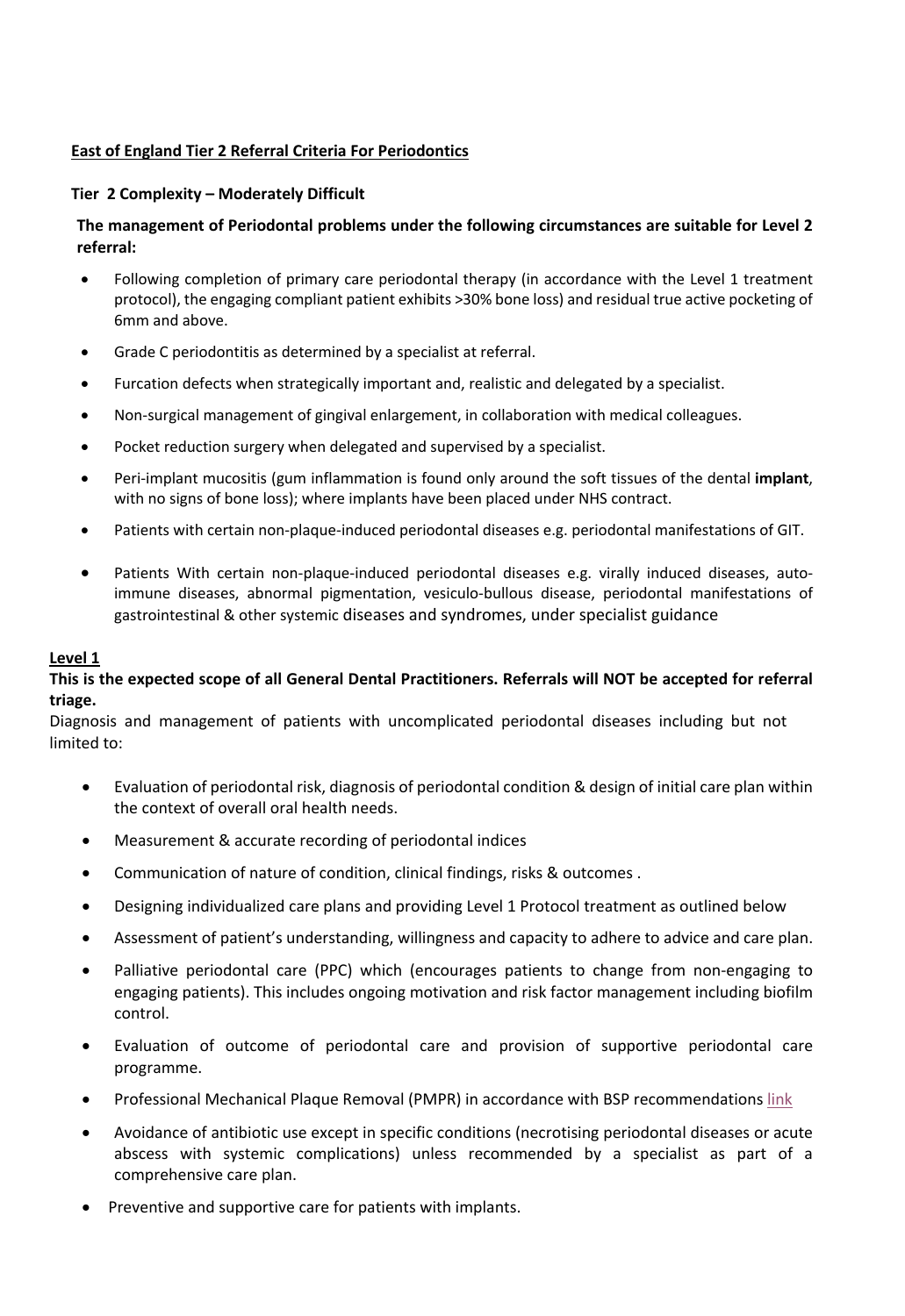# **East of England Tier 2 Referral Criteria For Periodontics**

### **Tier 2 Complexity – Moderately Difficult**

## **The management of Periodontal problems under the following circumstances are suitable for Level 2 referral:**

- Following completion of primary care periodontal therapy (in accordance with the Level 1 treatment protocol), the engaging compliant patient exhibits >30% bone loss) and residual true active pocketing of 6mm and above.
- Grade C periodontitis as determined by a specialist at referral.
- Furcation defects when strategically important and, realistic and delegated by a specialist.
- Non-surgical management of gingival enlargement, in collaboration with medical colleagues.
- Pocket reduction surgery when delegated and supervised by a specialist.
- Peri-implant mucositis (gum inflammation is found only around the soft tissues of the dental **implant**, with no signs of bone loss); where implants have been placed under NHS contract.
- Patients with certain non-plaque-induced periodontal diseases e.g. periodontal manifestations of GIT.
- Patients With certain non-plaque-induced periodontal diseases e.g. virally induced diseases, autoimmune diseases, abnormal pigmentation, vesiculo-bullous disease, periodontal manifestations of gastrointestinal & other systemic diseases and syndromes, under specialist guidance

#### **Level 1**

### **This is the expected scope of all General Dental Practitioners. Referrals will NOT be accepted for referral triage.**

Diagnosis and management of patients with uncomplicated periodontal diseases including but not limited to:

- Evaluation of periodontal risk, diagnosis of periodontal condition & design of initial care plan within the context of overall oral health needs.
- Measurement & accurate recording of periodontal indices
- Communication of nature of condition, clinical findings, risks & outcomes .
- Designing individualized care plans and providing Level 1 Protocol treatment as outlined below
- Assessment of patient's understanding, willingness and capacity to adhere to advice and care plan.
- Palliative periodontal care (PPC) which (encourages patients to change from non-engaging to engaging patients). This includes ongoing motivation and risk factor management including biofilm control.
- Evaluation of outcome of periodontal care and provision of supportive periodontal care programme.
- Professional Mechanical Plaque Removal (PMPR) in accordance with BSP recommendations [link](https://www.bsperio.org.uk/professionals/bsp-uk-clinical-practice-guidelines-for-the-treatment-of-periodontitis)
- Avoidance of antibiotic use except in specific conditions (necrotising periodontal diseases or acute abscess with systemic complications) unless recommended by a specialist as part of a comprehensive care plan.
- Preventive and supportive care for patients with implants.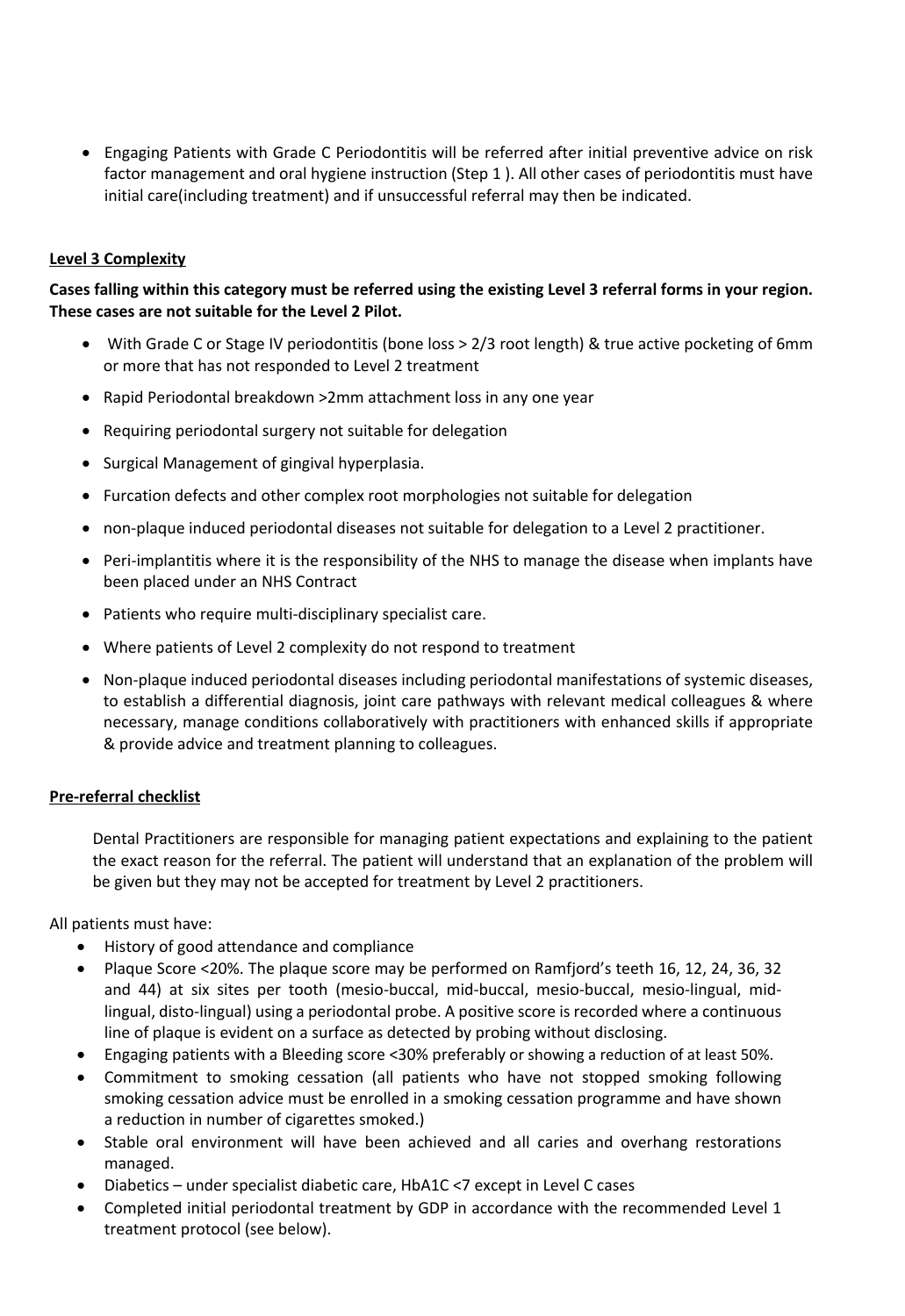• Engaging Patients with Grade C Periodontitis will be referred after initial preventive advice on risk factor management and oral hygiene instruction (Step 1 ). All other cases of periodontitis must have initial care(including treatment) and if unsuccessful referral may then be indicated.

## **Level 3 Complexity**

**Cases falling within this category must be referred using the existing Level 3 referral forms in your region. These cases are not suitable for the Level 2 Pilot.**

- With Grade C or Stage IV periodontitis (bone loss > 2/3 root length) & true active pocketing of 6mm or more that has not responded to Level 2 treatment
- Rapid Periodontal breakdown >2mm attachment loss in any one year
- Requiring periodontal surgery not suitable for delegation
- Surgical Management of gingival hyperplasia.
- Furcation defects and other complex root morphologies not suitable for delegation
- non-plaque induced periodontal diseases not suitable for delegation to a Level 2 practitioner.
- Peri-implantitis where it is the responsibility of the NHS to manage the disease when implants have been placed under an NHS Contract
- Patients who require multi-disciplinary specialist care.
- Where patients of Level 2 complexity do not respond to treatment
- Non-plaque induced periodontal diseases including periodontal manifestations of systemic diseases, to establish a differential diagnosis, joint care pathways with relevant medical colleagues & where necessary, manage conditions collaboratively with practitioners with enhanced skills if appropriate & provide advice and treatment planning to colleagues.

## **Pre-referral checklist**

Dental Practitioners are responsible for managing patient expectations and explaining to the patient the exact reason for the referral. The patient will understand that an explanation of the problem will be given but they may not be accepted for treatment by Level 2 practitioners.

All patients must have:

- History of good attendance and compliance
- Plaque Score <20%. The plaque score may be performed on Ramfjord's teeth 16, 12, 24, 36, 32 and 44) at six sites per tooth (mesio-buccal, mid-buccal, mesio-buccal, mesio-lingual, midlingual, disto-lingual) using a periodontal probe. A positive score is recorded where a continuous line of plaque is evident on a surface as detected by probing without disclosing.
- Engaging patients with a Bleeding score <30% preferably or showing a reduction of at least 50%.
- Commitment to smoking cessation (all patients who have not stopped smoking following smoking cessation advice must be enrolled in a smoking cessation programme and have shown a reduction in number of cigarettes smoked.)
- Stable oral environment will have been achieved and all caries and overhang restorations managed.
- Diabetics under specialist diabetic care, HbA1C <7 except in Level C cases
- Completed initial periodontal treatment by GDP in accordance with the recommended Level 1 treatment protocol (see below).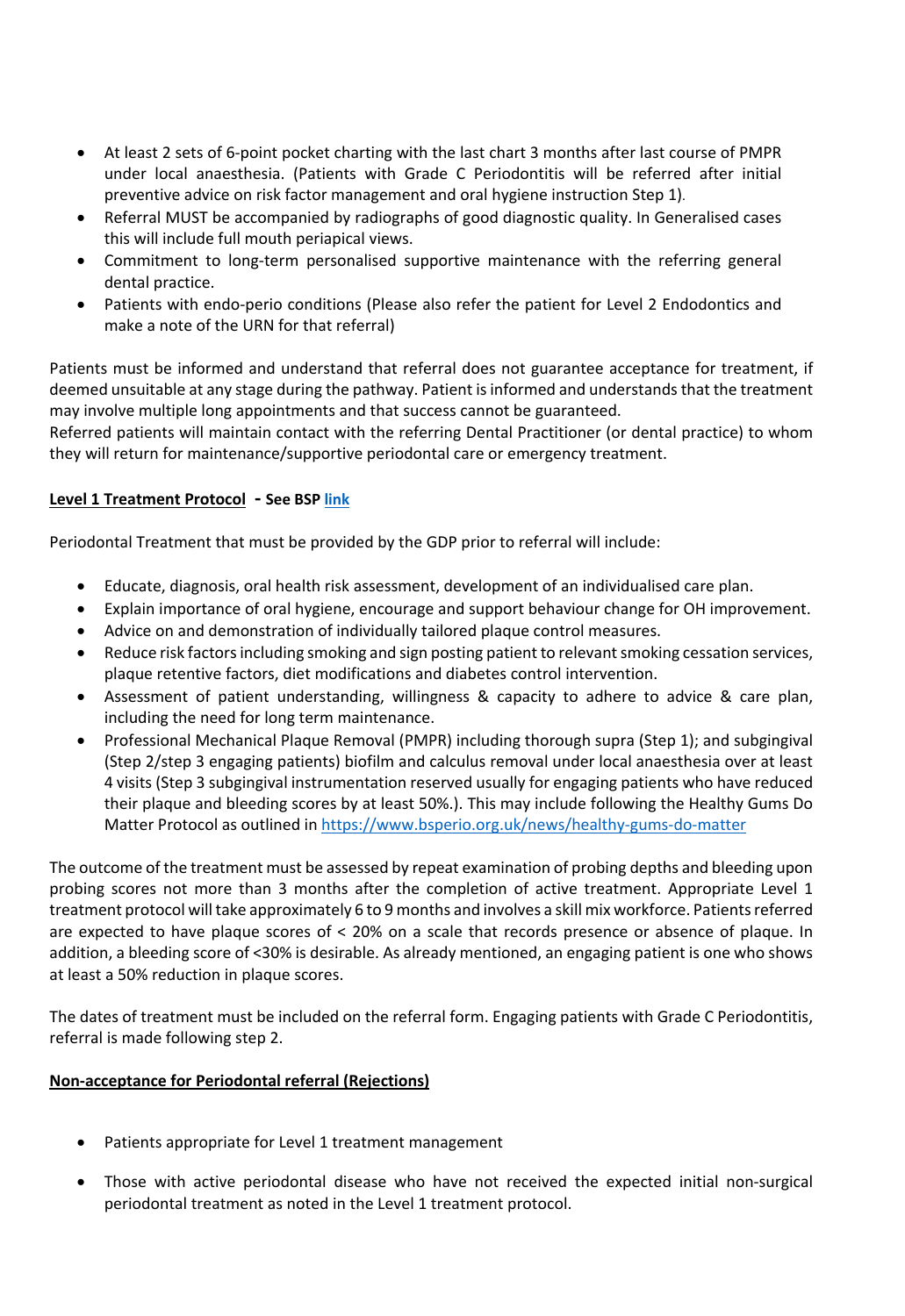- At least 2 sets of 6-point pocket charting with the last chart 3 months after last course of PMPR under local anaesthesia. (Patients with Grade C Periodontitis will be referred after initial preventive advice on risk factor management and oral hygiene instruction Step 1).
- Referral MUST be accompanied by radiographs of good diagnostic quality. In Generalised cases this will include full mouth periapical views.
- Commitment to long-term personalised supportive maintenance with the referring general dental practice.
- Patients with endo-perio conditions (Please also refer the patient for Level 2 Endodontics and make a note of the URN for that referral)

Patients must be informed and understand that referral does not guarantee acceptance for treatment, if deemed unsuitable at any stage during the pathway. Patient is informed and understands that the treatment may involve multiple long appointments and that success cannot be guaranteed.

Referred patients will maintain contact with the referring Dental Practitioner (or dental practice) to whom they will return for maintenance/supportive periodontal care or emergency treatment.

# **Level 1 Treatment Protocol - See BSP [link](https://www.bsperio.org.uk/professionals/bsp-uk-clinical-practice-guidelines-for-the-treatment-of-periodontitis)**

Periodontal Treatment that must be provided by the GDP prior to referral will include:

- Educate, diagnosis, oral health risk assessment, development of an individualised care plan.
- Explain importance of oral hygiene, encourage and support behaviour change for OH improvement.
- Advice on and demonstration of individually tailored plaque control measures.
- Reduce risk factors including smoking and sign posting patient to relevant smoking cessation services, plaque retentive factors, diet modifications and diabetes control intervention.
- Assessment of patient understanding, willingness & capacity to adhere to advice & care plan, including the need for long term maintenance.
- Professional Mechanical Plaque Removal (PMPR) including thorough supra (Step 1); and subgingival (Step 2/step 3 engaging patients) biofilm and calculus removal under local anaesthesia over at least 4 visits (Step 3 subgingival instrumentation reserved usually for engaging patients who have reduced their plaque and bleeding scores by at least 50%.). This may include following the Healthy Gums Do Matter Protocol as outlined in https://www.bsperio.org.uk/news/healthy-gums-do-matter

The outcome of the treatment must be assessed by repeat examination of probing depths and bleeding upon probing scores not more than 3 months after the completion of active treatment. Appropriate Level 1 treatment protocol will take approximately 6 to 9 months and involves a skill mix workforce. Patients referred are expected to have plaque scores of < 20% on a scale that records presence or absence of plaque. In addition, a bleeding score of <30% is desirable. As already mentioned, an engaging patient is one who shows at least a 50% reduction in plaque scores.

The dates of treatment must be included on the referral form. Engaging patients with Grade C Periodontitis, referral is made following step 2.

## **Non-acceptance for Periodontal referral (Rejections)**

- Patients appropriate for Level 1 treatment management
- Those with active periodontal disease who have not received the expected initial non-surgical periodontal treatment as noted in the Level 1 treatment protocol.